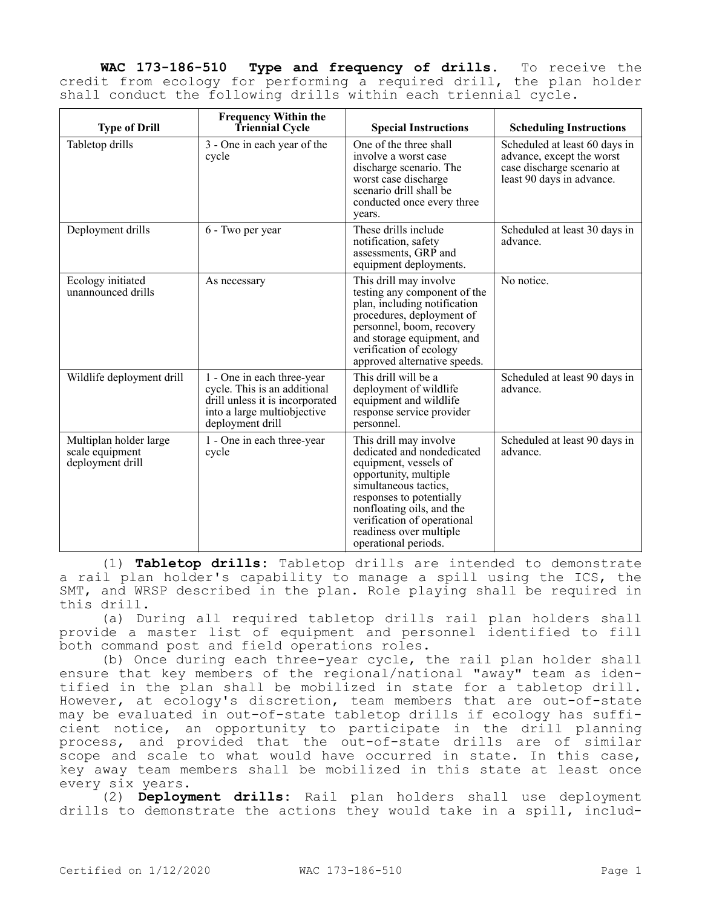**WAC 173-186-510 Type and frequency of drills.** To receive the credit from ecology for performing a required drill, the plan holder shall conduct the following drills within each triennial cycle.

| <b>Type of Drill</b>                                          | <b>Frequency Within the</b><br><b>Triennial Cycle</b>                                                                                            | <b>Special Instructions</b>                                                                                                                                                                                                                                                | <b>Scheduling Instructions</b>                                                                                        |
|---------------------------------------------------------------|--------------------------------------------------------------------------------------------------------------------------------------------------|----------------------------------------------------------------------------------------------------------------------------------------------------------------------------------------------------------------------------------------------------------------------------|-----------------------------------------------------------------------------------------------------------------------|
| Tabletop drills                                               | 3 - One in each year of the<br>cycle                                                                                                             | One of the three shall<br>involve a worst case<br>discharge scenario. The<br>worst case discharge<br>scenario drill shall be<br>conducted once every three<br>years.                                                                                                       | Scheduled at least 60 days in<br>advance, except the worst<br>case discharge scenario at<br>least 90 days in advance. |
| Deployment drills                                             | 6 - Two per year                                                                                                                                 | These drills include<br>notification, safety<br>assessments, GRP and<br>equipment deployments.                                                                                                                                                                             | Scheduled at least 30 days in<br>advance.                                                                             |
| Ecology initiated<br>unannounced drills                       | As necessary                                                                                                                                     | This drill may involve<br>testing any component of the<br>plan, including notification<br>procedures, deployment of<br>personnel, boom, recovery<br>and storage equipment, and<br>verification of ecology<br>approved alternative speeds.                                  | No notice.                                                                                                            |
| Wildlife deployment drill                                     | 1 - One in each three-year<br>cycle. This is an additional<br>drill unless it is incorporated<br>into a large multiobjective<br>deployment drill | This drill will be a<br>deployment of wildlife<br>equipment and wildlife<br>response service provider<br>personnel.                                                                                                                                                        | Scheduled at least 90 days in<br>advance.                                                                             |
| Multiplan holder large<br>scale equipment<br>deployment drill | 1 - One in each three-year<br>cycle                                                                                                              | This drill may involve<br>dedicated and nondedicated<br>equipment, vessels of<br>opportunity, multiple<br>simultaneous tactics,<br>responses to potentially<br>nonfloating oils, and the<br>verification of operational<br>readiness over multiple<br>operational periods. | Scheduled at least 90 days in<br>advance.                                                                             |

(1) **Tabletop drills:** Tabletop drills are intended to demonstrate a rail plan holder's capability to manage a spill using the ICS, the SMT, and WRSP described in the plan. Role playing shall be required in this drill.

(a) During all required tabletop drills rail plan holders shall provide a master list of equipment and personnel identified to fill both command post and field operations roles.

(b) Once during each three-year cycle, the rail plan holder shall ensure that key members of the regional/national "away" team as identified in the plan shall be mobilized in state for a tabletop drill. However, at ecology's discretion, team members that are out-of-state may be evaluated in out-of-state tabletop drills if ecology has sufficient notice, an opportunity to participate in the drill planning process, and provided that the out-of-state drills are of similar scope and scale to what would have occurred in state. In this case, key away team members shall be mobilized in this state at least once every six years.

(2) **Deployment drills:** Rail plan holders shall use deployment drills to demonstrate the actions they would take in a spill, includ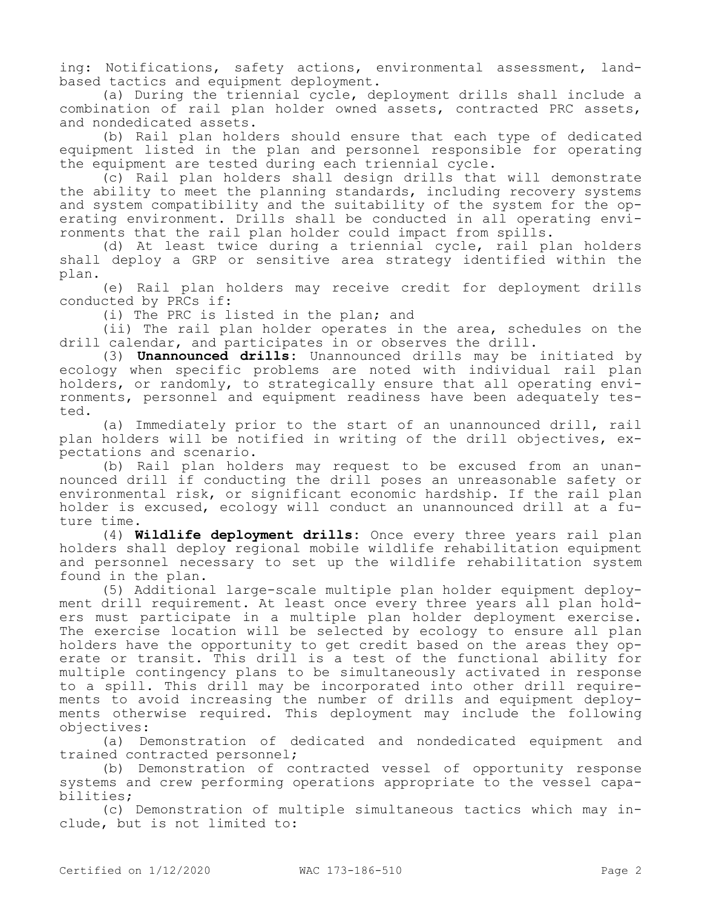ing: Notifications, safety actions, environmental assessment, landbased tactics and equipment deployment.

(a) During the triennial cycle, deployment drills shall include a combination of rail plan holder owned assets, contracted PRC assets, and nondedicated assets.

(b) Rail plan holders should ensure that each type of dedicated equipment listed in the plan and personnel responsible for operating the equipment are tested during each triennial cycle.

(c) Rail plan holders shall design drills that will demonstrate the ability to meet the planning standards, including recovery systems and system compatibility and the suitability of the system for the operating environment. Drills shall be conducted in all operating environments that the rail plan holder could impact from spills.

(d) At least twice during a triennial cycle, rail plan holders shall deploy a GRP or sensitive area strategy identified within the plan.

(e) Rail plan holders may receive credit for deployment drills conducted by PRCs if:

(i) The PRC is listed in the plan; and

(ii) The rail plan holder operates in the area, schedules on the drill calendar, and participates in or observes the drill.

(3) **Unannounced drills:** Unannounced drills may be initiated by ecology when specific problems are noted with individual rail plan holders, or randomly, to strategically ensure that all operating environments, personnel and equipment readiness have been adequately tested.

(a) Immediately prior to the start of an unannounced drill, rail plan holders will be notified in writing of the drill objectives, expectations and scenario.

(b) Rail plan holders may request to be excused from an unannounced drill if conducting the drill poses an unreasonable safety or environmental risk, or significant economic hardship. If the rail plan holder is excused, ecology will conduct an unannounced drill at a future time.

(4) **Wildlife deployment drills:** Once every three years rail plan holders shall deploy regional mobile wildlife rehabilitation equipment and personnel necessary to set up the wildlife rehabilitation system found in the plan.

(5) Additional large-scale multiple plan holder equipment deployment drill requirement. At least once every three years all plan holders must participate in a multiple plan holder deployment exercise. The exercise location will be selected by ecology to ensure all plan holders have the opportunity to get credit based on the areas they operate or transit. This drill is a test of the functional ability for multiple contingency plans to be simultaneously activated in response to a spill. This drill may be incorporated into other drill requirements to avoid increasing the number of drills and equipment deployments otherwise required. This deployment may include the following objectives:

(a) Demonstration of dedicated and nondedicated equipment and trained contracted personnel;

(b) Demonstration of contracted vessel of opportunity response systems and crew performing operations appropriate to the vessel capabilities;

(c) Demonstration of multiple simultaneous tactics which may include, but is not limited to: